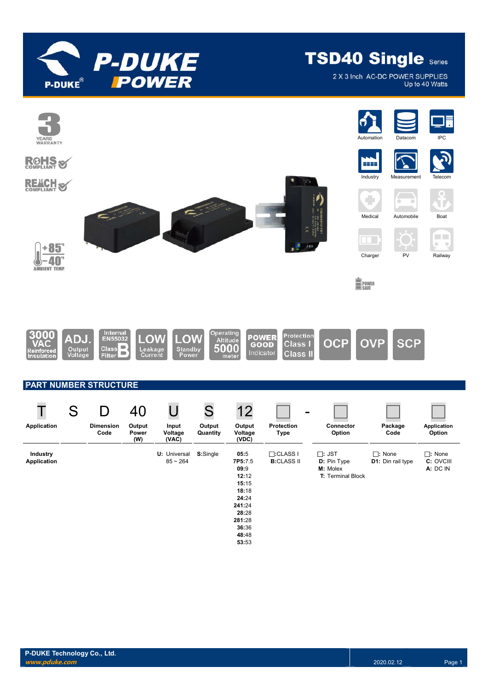

2 X 3 Inch AC-DC POWER SUPPLIES Up to 40 Watts

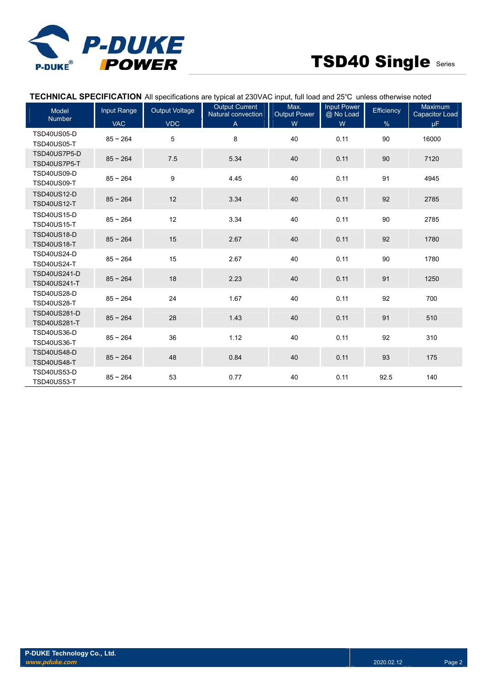

# **TECHNICAL SPECIFICATION** All specifications are typical at 230VAC input, full load and 25℃ unless otherwise noted

| <b>Model</b><br><b>Number</b>              | Input Range | <b>Output Voltage</b> | <b>Output Current</b><br>Natural convection | Max.<br><b>Output Power</b> | Input Power<br>@ No Load | Efficiency | <b>Maximum</b><br><b>Capacitor Load</b> |
|--------------------------------------------|-------------|-----------------------|---------------------------------------------|-----------------------------|--------------------------|------------|-----------------------------------------|
|                                            | <b>VAC</b>  | <b>VDC</b>            | A                                           | W                           | W                        | $\%$       | μF.                                     |
| <b>TSD40US05-D</b><br><b>TSD40US05-T</b>   | $85 - 264$  | 5                     | 8                                           | 40                          | 0.11                     | 90         | 16000                                   |
| TSD40US7P5-D<br>TSD40US7P5-T               | $85 - 264$  | 7.5                   | 5.34                                        | 40                          | 0.11                     | 90         | 7120                                    |
| <b>TSD40US09-D</b><br><b>TSD40US09-T</b>   | $85 - 264$  | 9                     | 4.45                                        | 40                          | 0.11                     | 91         | 4945                                    |
| <b>TSD40US12-D</b><br><b>TSD40US12-T</b>   | $85 - 264$  | 12                    | 3.34                                        | 40                          | 0.11                     | 92         | 2785                                    |
| <b>TSD40US15-D</b><br><b>TSD40US15-T</b>   | $85 - 264$  | 12                    | 3.34                                        | 40                          | 0.11                     | 90         | 2785                                    |
| <b>TSD40US18-D</b><br><b>TSD40US18-T</b>   | $85 - 264$  | 15                    | 2.67                                        | 40                          | 0.11                     | 92         | 1780                                    |
| <b>TSD40US24-D</b><br><b>TSD40US24-T</b>   | $85 - 264$  | 15                    | 2.67                                        | 40                          | 0.11                     | 90         | 1780                                    |
| <b>TSD40US241-D</b><br><b>TSD40US241-T</b> | $85 - 264$  | 18                    | 2.23                                        | 40                          | 0.11                     | 91         | 1250                                    |
| <b>TSD40US28-D</b><br><b>TSD40US28-T</b>   | $85 - 264$  | 24                    | 1.67                                        | 40                          | 0.11                     | 92         | 700                                     |
| <b>TSD40US281-D</b><br><b>TSD40US281-T</b> | $85 - 264$  | 28                    | 1.43                                        | 40                          | 0.11                     | 91         | 510                                     |
| <b>TSD40US36-D</b><br><b>TSD40US36-T</b>   | $85 - 264$  | 36                    | 1.12                                        | 40                          | 0.11                     | 92         | 310                                     |
| <b>TSD40US48-D</b><br><b>TSD40US48-T</b>   | $85 - 264$  | 48                    | 0.84                                        | 40                          | 0.11                     | 93         | 175                                     |
| <b>TSD40US53-D</b><br><b>TSD40US53-T</b>   | $85 - 264$  | 53                    | 0.77                                        | 40                          | 0.11                     | 92.5       | 140                                     |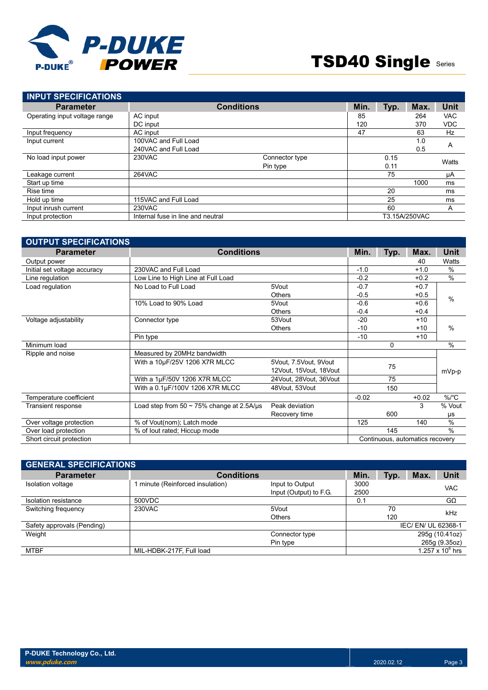

| <b>INPUT SPECIFICATIONS</b>   |                                   |                |      |      |               |             |
|-------------------------------|-----------------------------------|----------------|------|------|---------------|-------------|
| <b>Parameter</b>              | <b>Conditions</b>                 |                | Min. | Typ. | Max.          | <b>Unit</b> |
| Operating input voltage range | AC input                          |                | 85   |      | 264           | <b>VAC</b>  |
|                               | DC input                          |                | 120  |      | 370           | <b>VDC</b>  |
| Input frequency               | AC input                          |                | 47   |      | 63            | Hz          |
| Input current                 | 100VAC and Full Load              |                |      |      | 1.0           | A           |
|                               | 240VAC and Full Load              |                |      |      | 0.5           |             |
| No load input power           | 230VAC                            | Connector type |      | 0.15 |               | Watts       |
|                               |                                   | Pin type       |      | 0.11 |               |             |
| Leakage current               | 264VAC                            |                |      | 75   |               | μA          |
| Start up time                 |                                   |                |      |      | 1000          | ms          |
| Rise time                     |                                   |                |      | 20   |               | ms          |
| Hold up time                  | 115VAC and Full Load              |                |      | 25   |               | ms          |
| Input inrush current          | 230VAC                            |                |      | 60   |               | A           |
| Input protection              | Internal fuse in line and neutral |                |      |      | T3.15A/250VAC |             |

| <b>OUTPUT SPECIFICATIONS</b> |                                                 |                                                 |         |      |                                 |               |
|------------------------------|-------------------------------------------------|-------------------------------------------------|---------|------|---------------------------------|---------------|
| <b>Parameter</b>             | <b>Conditions</b>                               |                                                 |         | Typ. | Max.                            | Unit          |
| Output power                 |                                                 |                                                 |         |      | 40                              | Watts         |
| Initial set voltage accuracy | 230VAC and Full Load                            |                                                 | $-1.0$  |      | $+1.0$                          | $\frac{0}{0}$ |
| Line regulation              | Low Line to High Line at Full Load              |                                                 | $-0.2$  |      | $+0.2$                          | $\frac{0}{0}$ |
| Load regulation              | No Load to Full Load                            | 5Vout                                           | $-0.7$  |      | $+0.7$                          |               |
|                              |                                                 | <b>Others</b>                                   | $-0.5$  |      | $+0.5$                          | $\frac{0}{0}$ |
|                              | 10% Load to 90% Load                            | 5Vout                                           | $-0.6$  |      | $+0.6$                          |               |
|                              |                                                 | <b>Others</b>                                   | $-0.4$  |      | $+0.4$                          |               |
| Voltage adjustability        | Connector type                                  | 53Vout                                          | $-20$   |      | $+10$                           |               |
|                              |                                                 | <b>Others</b>                                   | $-10$   |      | $+10$                           | $\frac{0}{0}$ |
|                              | Pin type                                        |                                                 | $-10$   |      | $+10$                           |               |
| Minimum load                 |                                                 |                                                 |         | 0    |                                 | $\frac{0}{0}$ |
| Ripple and noise             | Measured by 20MHz bandwidth                     |                                                 |         |      |                                 |               |
|                              | With a 10µF/25V 1206 X7R MLCC                   | 5Vout, 7.5Vout, 9Vout<br>12Vout, 15Vout, 18Vout | 75      |      | mVp-p                           |               |
|                              | With a 1µF/50V 1206 X7R MLCC                    | 24Vout, 28Vout, 36Vout                          |         | 75   |                                 |               |
|                              | With a 0.1µF/100V 1206 X7R MLCC                 | 48Vout, 53Vout                                  |         | 150  |                                 |               |
| Temperature coefficient      |                                                 |                                                 | $-0.02$ |      | $+0.02$                         | $\%$ /°C      |
| Transient response           | Load step from $50 \sim 75\%$ change at 2.5A/us | Peak deviation                                  |         |      | 3                               | % Vout        |
|                              |                                                 | Recovery time                                   |         | 600  |                                 | μs            |
| Over voltage protection      | % of Vout(nom); Latch mode                      |                                                 | 125     |      | 140                             | $\frac{0}{0}$ |
| Over load protection         | % of lout rated; Hiccup mode                    |                                                 |         | 145  |                                 | $\frac{0}{0}$ |
| Short circuit protection     |                                                 |                                                 |         |      | Continuous, automatics recovery |               |

| <b>GENERAL SPECIFICATIONS</b> |                                |                                           |              |      |                   |                     |
|-------------------------------|--------------------------------|-------------------------------------------|--------------|------|-------------------|---------------------|
| <b>Parameter</b>              | <b>Conditions</b>              |                                           | Min.         | Typ. | Max.              | Unit                |
| Isolation voltage             | minute (Reinforced insulation) | Input to Output<br>Input (Output) to F.G. | 3000<br>2500 |      |                   | <b>VAC</b>          |
| Isolation resistance          | 500VDC                         |                                           | 0.1          |      |                   | $G\Omega$           |
| Switching frequency           | 230VAC                         | 5Vout                                     |              | 70   |                   | kHz                 |
|                               |                                | Others                                    |              | 120  |                   |                     |
| Safety approvals (Pending)    |                                |                                           |              |      | IEC/EN/UL 62368-1 |                     |
| Weight                        |                                | Connector type                            |              |      |                   | 295g (10.41oz)      |
|                               |                                | Pin type                                  |              |      |                   | 265g (9.35oz)       |
| <b>MTBF</b>                   | MIL-HDBK-217F, Full load       |                                           |              |      |                   | 1.257 x 10 $^6$ hrs |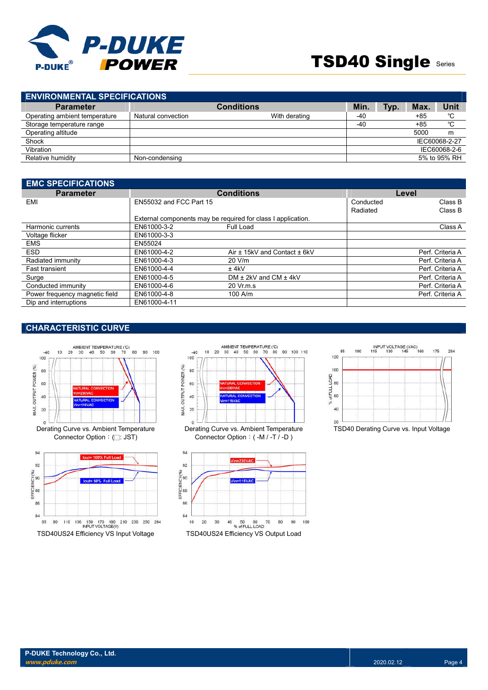

| <b>ENVIRONMENTAL SPECIFICATIONS</b> |                    |               |       |      |            |               |  |
|-------------------------------------|--------------------|---------------|-------|------|------------|---------------|--|
| <b>Parameter</b>                    | <b>Conditions</b>  |               |       | Typ. | <b>Max</b> | Unit          |  |
| Operating ambient temperature       | Natural convection | With derating | -40   |      | $+85$      | °C            |  |
| Storage temperature range           |                    |               | $-40$ |      | $+85$      | °C            |  |
| Operating altitude                  |                    |               |       |      | 5000       | m             |  |
| Shock                               |                    |               |       |      |            | IEC60068-2-27 |  |
| Vibration                           |                    |               |       |      |            | IEC60068-2-6  |  |
| Relative humidity                   | Non-condensing     |               |       |      |            | 5% to 95% RH  |  |
|                                     |                    |               |       |      |            |               |  |

| <b>EMC SPECIFICATIONS</b>      |                         |                                                              |           |                  |
|--------------------------------|-------------------------|--------------------------------------------------------------|-----------|------------------|
| <b>Parameter</b>               |                         | <b>Conditions</b>                                            | Level     |                  |
| EMI                            | EN55032 and FCC Part 15 |                                                              | Conducted | Class B          |
|                                |                         |                                                              | Radiated  | Class B          |
|                                |                         | External components may be required for class I application. |           |                  |
| Harmonic currents              | EN61000-3-2             | Full Load                                                    |           | Class A          |
| Voltage flicker                | EN61000-3-3             |                                                              |           |                  |
| <b>EMS</b>                     | EN55024                 |                                                              |           |                  |
| <b>ESD</b>                     | EN61000-4-2             | Air ± 15kV and Contact ± 6kV                                 |           | Perf. Criteria A |
| Radiated immunity              | EN61000-4-3             | $20$ V/m                                                     |           | Perf. Criteria A |
| <b>Fast transient</b>          | EN61000-4-4             | $±$ 4kV                                                      |           | Perf. Criteria A |
| Surge                          | EN61000-4-5             | DM $\pm$ 2kV and CM $\pm$ 4kV                                |           | Perf. Criteria A |
| Conducted immunity             | EN61000-4-6             | 20 Vr.m.s                                                    |           | Perf. Criteria A |
| Power frequency magnetic field | EN61000-4-8             | $100$ A/m                                                    |           | Perf. Criteria A |
| Dip and interruptions          | EN61000-4-11            |                                                              |           |                  |

# **CHARACTERISTIC CURVE**





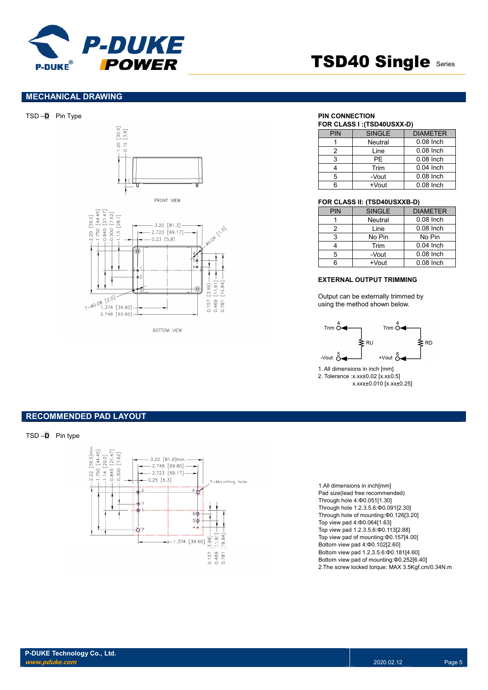

## **MECHANICAL DRAWING**







**ROTTOM VIEW** 

| <b>PIN</b> | <b>SINGLE</b>       | <b>DIAMETER</b> |
|------------|---------------------|-----------------|
|            | Neutral             | $0.08$ Inch     |
| 2          | $0.08$ Inch<br>Line |                 |
| 3          | PF                  | $0.08$ Inch     |
|            | Trim                | $0.04$ Inch     |
| 5          | -Vout               | $0.08$ Inch     |
|            | $+V$ out            | $0.08$ Inch     |

#### **FOR CLASS II: (TSD40USXXB-D)**

| PIN | <b>SINGLE</b>       | <b>DIAMETER</b> |
|-----|---------------------|-----------------|
|     | Neutral             | 0.08 Inch       |
| 2   | $0.08$ Inch<br>Line |                 |
| 3   | No Pin              | No Pin          |
|     | Trim                | $0.04$ Inch     |
| 5   | -Vout               | $0.08$ Inch     |
| ิค  | $+V$ out            | $0.08$ Inch     |

#### **EXTERNAL OUTPUT TRIMMING**

Output can be externally trimmed by using the method shown below.



1. All dimensions in inch [mm] 2. Tolerance :x.xx±0.02 [x.x±0.5] x.xxx±0.010 [x.xx±0.25]

### **RECOMMENDED PAD LAYOUT**

TSD –**D** Pin type



1.All dimensions in inch[mm] Pad size(lead free recommended) Through hole 4:Φ0.051[1.30] Through hole 1.2.3.5.6:Φ0.091[2.30] Through hole of mounting:Φ0.126[3.20] Top view pad 4:Φ0.064[1.63] Top view pad 1.2.3.5.6:Φ0.113[2.88] Top view pad of mounting:Φ0.157[4.00] Bottom view pad 4:Φ0.102[2.60] Bottom view pad 1.2.3.5.6:Φ0.181[4.60] Bottom view pad of mounting:Φ0.252[6.40] 2.The screw locked torque: MAX 3.5Kgf.cm/0.34N.m